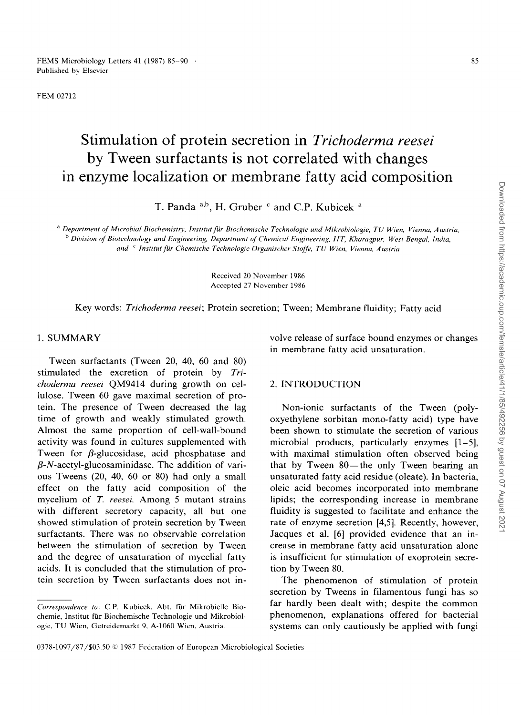#### FEM 02712

# **Stimulation of protein secretion in** *Trichoderma reesei*  **by Tween surfactants is not correlated with changes in enzyme localization or membrane fatty acid composition**

T. Panda a,b, H. Gruber <sup>c</sup> and C.P. Kubicek <sup>a</sup>

*a Department of Microbial Biochemisto', Institut ]'fir Biochemische Technologie und Mikrobiologie, TU Wien, Vienna, Austria,*  <sup>b</sup> Division of Biotechnology and Engineering, Department of Chemical Engineering, IIT, Kharagpur, West Bengal, India, *and c lnstitut ffir Chemische Technologie Organischer Stoffe, TU Wien, Vienna, Austria* 

> Received 20 November 1986 Accepted 27 November 1986

Key words: *Trichoderma reesei;* Protein secretion; Tween; Membrane fluidity; Fatty acid

#### 1. SUMMARY

Tween surfactants (Tween 20, 40, 60 and 80) stimulated the excretion of protein by *Trichoderma reesei* QM9414 during growth on cellulose. Tween 60 gave maximal secretion of protein. The presence of Tween decreased the lag time of growth and weakly stimulated growth. Almost the same proportion of cell-wall-bound activity was found in cultures supplemented with Tween for  $\beta$ -glucosidase, acid phosphatase and  $\beta$ -N-acetyl-glucosaminidase. The addition of various Tweens (20, 40, 60 or 80) had only a small effect on the fatty acid composition of the mycelium of *T. reesei.* Among 5 mutant strains with different secretory capacity, all but one showed stimulation of protein secretion by Tween surfactants. There was no observable correlation between the stimulation of secretion by Tween and the degree of unsaturation of mycelial fatty acids. It is concluded that the stimulation of protein secretion by Tween surfactants does not involve release of surface bound enzymes or changes in membrane fatty acid unsaturation.

#### 2. INTRODUCTION

Non-ionic surfactants of the Tween (polyoxyethylene sorbitan mono-fatty acid) type have been shown to stimulate the secretion of various microbial products, particularly enzymes [1-5], with maximal stimulation often observed being that by Tween 80—the only Tween bearing an unsaturated fatty acid residue (oleate). In bacteria, oleic acid becomes incorporated into membrane lipids; the corresponding increase in membrane fluidity is suggested to facilitate and enhance the rate of enzyme secretion [4,5]. Recently, however, Jacques et al. [6] provided evidence that an increase in membrane fatty acid unsaturation alone is insufficient for stimulation of exoprotein secretion by Tween 80.

The phenomenon of stimulation of protein secretion by Tweens in filamentous fungi has so far hardly been dealt with; despite the common phenomenon, explanations offered for bacterial systems can only cautiously be applied with fungi

Correspondence to: C.P. Kubicek, Abt. für Mikrobielle Biochemie, Institut ffir Biochemische Technologie und Mikrobiologie, TU Wien, Getreidemarkt 9, A-1060 Wien, Austria.

<sup>0378-1097/87/\$03.50 © 1987</sup> Federation of European Microbiological Societies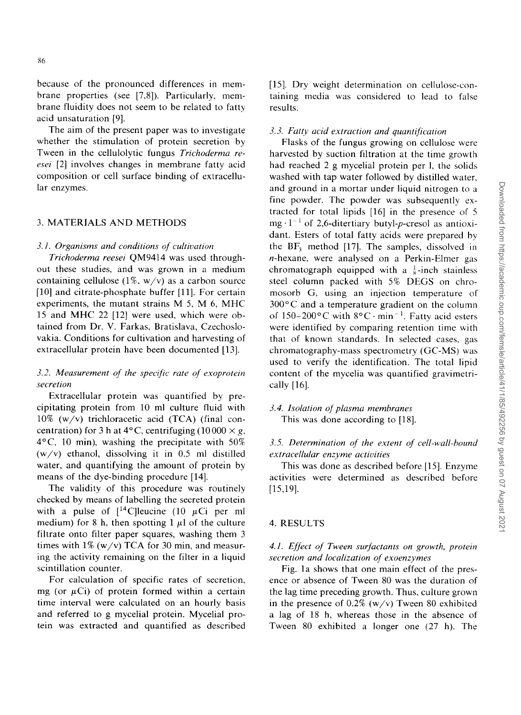because of the pronounced differences in membrane properties (see [7,8]). Particularly, membrane fluidity does not seem to be related to fatty acid unsaturation [9].

The aim of the present paper was to investigate whether the stimulation of protein secretion by Tween in the cellulolytic fungus *Trichoderma reesei* [2] involves changes in membrane fatty acid composition or cell surface binding of extracellular enzymes.

## 3. MATERIALS AND METHODS

## *3.1. Organisms and conditions of cultivation*

*Trichoderma reesei* QM9414 was used throughout these studies, and was grown in a medium containing cellulose  $(1\%, w/v)$  as a carbon source [10] and citrate-phosphate buffer [11]. For certain experiments, the mutant strains M 5, M 6, MHC 15 and MHC 22 [12] were used, which were obtained from Dr. V. Farkas, Bratislava, Czechoslovakia. Conditions for cultivation and harvesting of extracellular protein have been documented [13].

## *3.2. Measurement of the specific rate of exoprotein secretion*

Extracellular protein was quantified by precipitating protein from 10 ml culture fluid with  $10\%$  (w/v) trichloracetic acid (TCA) (final concentration) for 3 h at  $4^{\circ}$ C, centrifuging (10 000  $\times$  g,  $4^{\circ}$ C, 10 min), washing the precipitate with 50%  $(w/v)$  ethanol, dissolving it in 0.5 ml distilled water, and quantifying the amount of protein by means of the dye-binding procedure [14].

The validity of this procedure was routinely checked by means of labelling the secreted protein with a pulse of  $[{}^{14}$ C|leucine (10  $\mu$ Ci per ml medium) for 8 h, then spotting 1  $\mu$ 1 of the culture filtrate onto filter paper squares, washing them 3 times with  $1\%$  (w/v) TCA for 30 min, and measuring the activity remaining on the filter in a liquid scintillation counter.

For calculation of specific rates of secretion, mg (or  $\mu$ Ci) of protein formed within a certain time interval were calculated on an hourly basis and referred to g mycelial protein. Mycelial protein was extracted and quantified as described [15]. Dry weight determination on cellulose-containing media was considered to lead to false results.

#### *3.3. Fatty acid extraction and quantification*

Flasks of the fungus growing on cellulose were harvested by suction filtration at the time growth had reached 2 g mycelial protein per 1, the solids washed with tap water followed by distilled water, and ground in a mortar under liquid nitrogen to a fine powder. The powder was subsequently extracted for total lipids [16] in the presence of 5 mg $\cdot$ 1<sup>-1</sup> of 2,6-ditertiary butyl-p-cresol as antioxidant. Esters of total fatty acids were prepared by the  $BF_3$  method [17]. The samples, dissolved in n-hexane, were analysed on a Perkin-Elmer gas chromatograph equipped with a  $\frac{1}{8}$ -inch stainless steel column packed with 5% DEGS on chromosorb G, using an injection temperature of  $300\degree$ C and a temperature gradient on the column of  $150-200$  °C with  $8$  °C  $\cdot$  min<sup>-1</sup>. Fatty acid esters were identified by comparing retention time with that of known standards. In selected cases, gas chromatography-mass spectrometry (GC-MS) was used to verify the identification. The total lipid content of the mycelia was quantified gravimetrically [16].

# *3.4. Isolation of plasma membranes*  This was done according to [18].

#### *3.5. Determination of the extent of cell-wall-bound extracellular enzyme activities*

This was done as described before [15]. Enzyme activities were determined as described before [15,191.

## 4. RESULTS

## *4.1. Effect of Tween surfactants on growth, protein secretion and localization of exoenzymes*

Fig. la shows that one main effect of the presence or absence of Tween 80 was the duration of the lag time preceding growth. Thus, culture grown in the presence of  $0.2\%$  (w/v) Tween 80 exhibited a lag of 18 h, whereas those in the absence of Tween 80 exhibited a longer one (27 h). The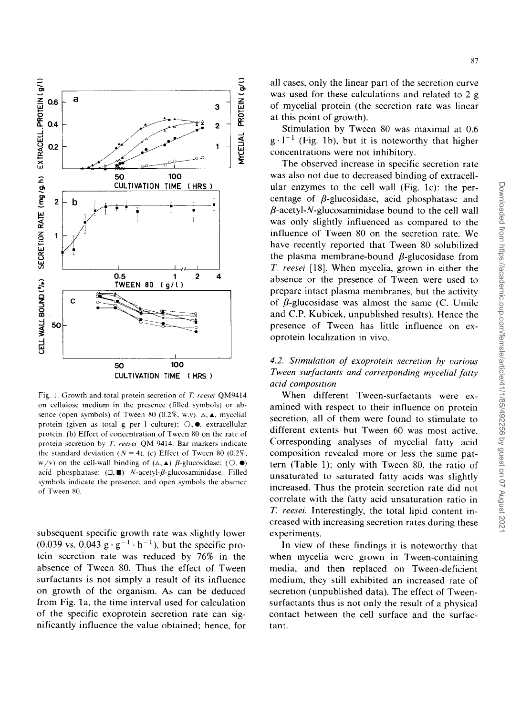

Fig. 1. Growth and total protein secretion of *T. reesei* QM9414 on cellulose medium in the presence (filled symbols) or absence (open symbols) of Tween 80 (0.2%, w.v).  $\Delta$ ,  $\blacktriangle$ , mycelial protein (given as total g per 1 culture);  $\bigcirc$ ,  $\bullet$ , extracellular protein. (b) Effect of concentration of Tween 80 on the rate of protein secretion by *T. reesei* QM 9414. Bar markers indicate the standard deviation ( $N = 4$ ). (c) Effect of Tween 80 (0.2%, w/v) on the cell-wall binding of  $(\triangle, \triangle)$   $\beta$ -glucosidase; ( $\bigcirc$ ,  $\bullet$ ) acid phosphatase;  $(\Box, \blacksquare)$  N-acetyl- $\beta$ -glucosaminidase. Filled symbols indicate the presence, and open symbols the absence of Tween 80.

subsequent specific growth rate was slightly lower (0.039 vs. 0.043 g ·  $g^{-1} \cdot h^{-1}$ ), but the specific protein secretion rate was reduced by 76% in the absence of Tween 80. Thus the effect of Tween surfactants is not simply a result of its influence on growth of the organism. As can be deduced from Fig. la, the time interval used for calculation of the specific exoprotein secretion rate can significantly influence the value obtained; hence, for all cases, only the linear part of the secretion curve was used for these calculations and related to 2 g of mycelial protein (the secretion rate was linear at this point of growth).

Stimulation by Tween 80 was maximal at 0.6  $g \cdot l^{-1}$  (Fig. 1b), but it is noteworthy that higher concentrations were not inhibitory.

The observed increase in specific secretion rate was also not due to decreased binding of extracellular enzymes to the cell wall (Fig. lc): the percentage of  $\beta$ -glucosidase, acid phosphatase and  $\beta$ -acetyl-N-glucosaminidase bound to the cell wall was only slightly influenced as compared to the influence of Tween 80 on the secretion rate. We have recently reported that Tween 80 solubilized the plasma membrane-bound  $\beta$ -glucosidase from *T. reesei* [18]. When mycelia, grown in either the absence or the presence of Tween were used to prepare intact plasma membranes, but the activity of  $\beta$ -glucosidase was almost the same (C. Umile and C.P. Kubicek, unpublished results). Hence the presence of Tween has little influence on exoprotein localization in vivo.

# *4.2. Stimulation of exoprotein secretion by various Tween surfactants and corresponding mycelial fatty acid composition*

When different Tween-surfactants were examined with respect to their influence on protein secretion, all of them were found to stimulate to different extents but Tween 60 was most active. Corresponding analyses of mycelial fatty acid composition revealed more or less the same pattern (Table 1); only with Tween 80, the ratio of unsaturated to saturated fatty acids was slightly increased. Thus the protein secretion rate did not correlate with the fatty acid unsaturation ratio in *T. reesei.* Interestingly, the total lipid content increased with increasing secretion rates during these experiments.

In view of these findings it is noteworthy that when mycelia were grown in Tween-containing media, and then replaced on Tween-deficient medium, they still exhibited an increased rate of secretion (unpublished data). The effect of Tweensurfactants thus is not only the result of a physical contact between the cell surface and the surfactant.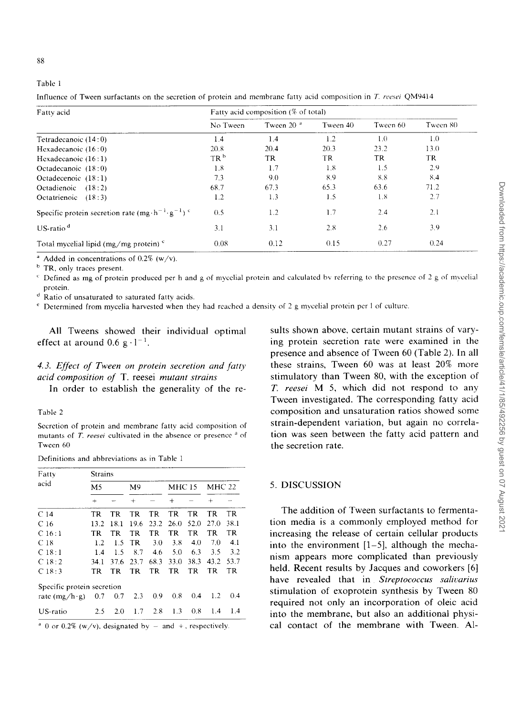88

Table 1

Influence of Tween surfactants on the secretion of protein and membrane fatty acid composition in *T. reesei* QM9414

| Fatty acid                                                                          | Fatty acid composition ( $%$ of total) |                       |          |           |           |  |  |
|-------------------------------------------------------------------------------------|----------------------------------------|-----------------------|----------|-----------|-----------|--|--|
|                                                                                     | No Tween                               | Tween 20 <sup>a</sup> | Tween 40 | Tween 60  | Tween 80  |  |  |
| Tetradecanoic $(14:0)$                                                              | 1.4                                    | 1.4                   | 1.2      | 1.0       | 1.0       |  |  |
| Hexadecanoic $(16:0)$                                                               | 20.8                                   | 20.4                  | 20.3     | 23.2      | 13.0      |  |  |
| Hexadecanoic $(16:1)$                                                               | $TR^b$                                 | TR                    | TR.      | <b>TR</b> | <b>TR</b> |  |  |
| Octadecanoic (18:0)                                                                 | 1.8                                    | 1.7                   | 1.8      | 1.5       | 2.9       |  |  |
| Octadecenoic (18:1)                                                                 | 7.3                                    | 9.0                   | 8.9      | 8.8       | -8.4      |  |  |
| Octadienoic (18:2)                                                                  | 68.7                                   | 67.3                  | 65.3     | 63.6      | 71.2      |  |  |
| Octatrienoic (18:3)                                                                 | 1.2                                    | 1.3                   | 1.5      | 1.8       | 2.7       |  |  |
| Specific protein secretion rate (mg·h <sup>-1</sup> ·g <sup>-1</sup> ) <sup>c</sup> | 0.5                                    | 1.2                   | 1.7      | 2.4       | 2.1       |  |  |
| $US-ratiod$                                                                         | 3.1                                    | 3.1                   | 2.8      | 2.6       | 3.9       |  |  |
| Total mycelial lipid (mg/mg protein) <sup>c</sup>                                   | 0.08                                   | 0.12                  | 0.15     | 0.27      | 0.24      |  |  |

<sup>a</sup> Added in concentrations of 0.2% (w/v).

<sup>b</sup> TR, only traces present.

 $c$  Defined as mg of protein produced per h and g of mycclial protein and calculated by referring to the presence of 2 g of mycelial protein.

d Ratio of unsaturated to saturated fatty acids.

c Determined from mycelia harvested when they had reached a density of 2 g mycelial protein per I of culture.

All Tweens showed their individual optimal effect at around 0.6 g $\cdot$  l<sup>-1</sup>.

# *4.3. Effect of Tween on protein secretion and fatty acid composition of* T. reesei *mutant strains*

In order to establish the generality of the re-

#### Table 2

Secretion of protein and membrane fatty acid composition of mutants of *T. reesei* cultivated in the absence or presence <sup>a</sup> of Tween 60

Definitions and abbreviations as in Table 1

| Fatty<br>acid              | <b>Strains</b> |      |                |      |               |      |               |      |  |  |
|----------------------------|----------------|------|----------------|------|---------------|------|---------------|------|--|--|
|                            | M5             |      | M <sup>9</sup> |      | <b>MHC 15</b> |      | <b>MHC 22</b> |      |  |  |
|                            | $+$            |      | $+$            |      | $^{+}$        |      | $^{+}$        |      |  |  |
| C <sub>14</sub>            | TR             | TR   | TR             | TR   | TR            | TR   | TR            | TR   |  |  |
| C <sub>16</sub>            | 13.2           | 18.1 | 19.6           | 23.2 | 26.0          | 52.0 | 27.0          | 38.1 |  |  |
| C 16 : 1                   | TR             | TR   | TR             | TR   | TR            | TR   | TR            | TR   |  |  |
| C 18                       | 1.2            | 1.5  | TR             | 3.0  | 3.8           | 4.0  | 7.0           | 4.1  |  |  |
| C18:1                      | 1.4            | 1.5  | 8.7            | 4.6  | 5.0           | 6.3  | 3.5           | 3.2  |  |  |
| C18:2                      | 34.1           | 37.6 | 23.7           | 68.3 | 33.0          | 38.3 | 43.2          | 53.7 |  |  |
| C.18:3                     | TR             | TR   | TR             | TR   | TR            | TR   | TR            | TR.  |  |  |
| Specific protein secretion |                |      |                |      |               |      |               |      |  |  |
| rate $(mg/h \cdot g)$      | 0.7            | 0.7  | 2.3            | 0.9  | 0.8           | 0.4  | 1.2           | 0.4  |  |  |
| US-ratio                   | 2.5            | 2.0  | 1.7            | 2.8  | 1.3           | 0.8  | 1.4           | 1.4  |  |  |

<sup>a</sup> 0 or 0.2% (w/v), designated by - and +, respectively.

sults shown above, certain mutant strains of varying protein secretion rate were examined in the presence and absence of Tween 60 (Table 2). In all these strains, Tween 60 was at least 20% more stimulatory than Tween 80, with the exception of *T. reesei* M 5, which did not respond to any Tween investigated. The corresponding fatty acid composition and unsaturation ratios showed some strain-dependent variation, but again no correlation was seen between the fatty acid pattern and the secretion rate.

#### 5. DISCUSSION

The addition of Tween surfactants to fermentation media is a commonly employed method for increasing the release of certain cellular products into the environment  $[1-5]$ , although the mechanism appears more complicated than previously held. Recent results by Jacques and coworkers [6] have revealed that in *Streptococcus salivarius*  stimulation of exoprotein synthesis by Tween 80 required not only an incorporation of oleic acid into the membrane, but also an additional physical contact of the membrane with Tween. A1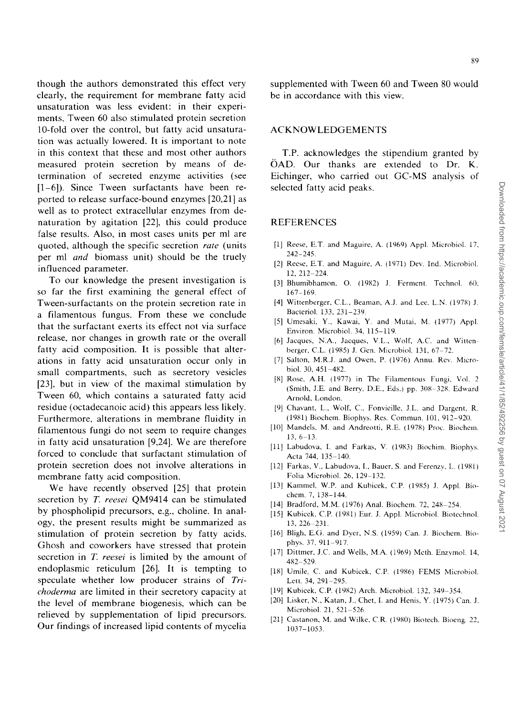though the authors demonstrated this effect very clearly, the requirement for membrane fatty acid unsaturation was less evident: in their experiments, Tween 60 also stimulated protein secretion 10-fold over the control, but fatty acid unsaturation was actually lowered. It is important to note in this context that these and most other authors measured protein secretion by means of determination of secreted enzyme activities (see [1-6]). Since Tween surfactants have been reported to release surface-bound enzymes [20,21] as well as to protect extracellular enzymes from denaturation by agitation [22], this could produce false results. Also, in most cases units per ml are quoted, although the specific secretion *rate* (units per ml *and* biomass unit) should be the truely influenced parameter.

To our knowledge the present investigation is so far the first examining the general effect of Tween-surfactants on the protein secretion rate in a filamentous fungus. From these we conclude that the surfactant exerts its effect not via surface release, nor changes in growth rate or the overall fatty acid composition. It is possible that alterations in fatty acid unsaturation occur only in small compartments, such as secretory vesicles [23], but in view of the maximal stimulation by Tween 60, which contains a saturated fatty acid residue (octadecanoic acid) this appears less likely. Furthermore, alterations in membrane fluidity in filamentous fungi do not seem to require changes in fatty acid unsaturation [9,24]. We are therefore forced to conclude that surfactant stimulation of protein secretion does not involve alterations in membrane fatty acid composition.

We have recently observed [25] that protein secretion by *T. reesei* QM9414 can be stimulated by phospholipid precursors, e.g., choline. In analogy, the present results might be summarized as stimulation of protein secretion by fatty acids. Ghosh and coworkers have stressed that protein secretion in *T. reesei* is limited by the amount of endoplasmic reticulum [26]. It is tempting to speculate whether low producer strains of *Trichoderma* are limited in their secretory capacity at the level of membrane biogenesis, which can be relieved by supplementation of lipid precursors. Our findings of increased lipid contents of mycelia

supplemented with Tween 60 and Tween 80 would be in accordance with this view.

#### ACKNOWLEDGEMENTS

T.P. acknowledges the stipendium granted by OAD. Our thanks are extended to Dr. K. Eichinger, who carried out GC-MS analysis of selected fatty acid peaks.

#### REFERENCES

- [1] Reese, E.T. and Maguire, A. (1969) Appl. Microbiol. 17, 242-245.
- [2] Reese, E.T. and Maguire, A. (1971) Dev. Ind. Microbiol. 12, 212 224.
- [3] Bhumibhamon, O. (1982) J. Ferment. Technol. 60. 167-169.
- [4] Wittenberger, C.L., Beaman, A.J. and Lee. L.N. (1978) J. Bacteriol. 133, 231-239.
- [5] Umesaki, Y., Kawai, Y. and Mutai, M. (1977) Appl. Environ. Microbiol. 34, 115-119.
- [6] Jacques, N.A., Jacques, V.L., Wolf, A.C. and Wittenberger, C.L. (1985) J. Gen. Microbiol. 131, 67-72.
- [7] Salton, M.R.J. and Owen, P. (1976) Annu. Rev. Microbiol. 30, 451-482.
- [8] Rose, A.H. (1977) in The Filamentous Fungi, Vol. 2 (Smith, J.E. and Berry, D.E., Eds.) pp. 308-328. Edward Arnold, London.
- [9] Chavant, L., Wolf, C., Fonvieille, J.L. and Dargent, R. (1981) Biochem. Biophys. Res. Commun. 101,912-920.
- [10] Mandels, M. and Andreotti, R.E. (1978) Proc. Biochem.  $13, 6 - 13.$
- [11] Labudova, I. and Farkas, V. (1983) Biochim. Biophys. Acta 744, 135-140.
- [121 Farkas, V., Labudova, I., Bauer, S. and Ferenzy, L. (1981) Folia Microbiol. 26, 129-132.
- [13] Kammel, W.P. and Kubicek, C.P. (1985) J. Appl. Biochem. 7, 138-144.
- [14] Bradford, M.M. (1976) Anal. Biochem. 72, 248-254.
- [15] Kubicek, C.P. (1981) Eur. J. Appl. Microbiol. Biotechnol. 13,226 231.
- [16] Bligh, E.G. and Dyer, N.S. (1959) Can. J. Biochem. Biophys. 37, 911-917.
- [17] Dittmer, J.C. and Wells, M.A. (1969) Meth. Enzymol. 14, 482-529.
- [18] Umile, C. and Kubicek, C.P. (1986) FEMS Microbiol. Lett. 34, 291-295.
- [19} Kubicek, C.P. (1982) Arch. Microbiol. 132, 349-354.
- [20] Lisker, N., Katan, J., Chet, I. and Henis, Y. (1975) Can. J. Microbiol. 21, 521-526.
- [21] Castanon, M. and Wilke, C.R. (1980) Biotech. Bioeng. 22, 1037-1053.